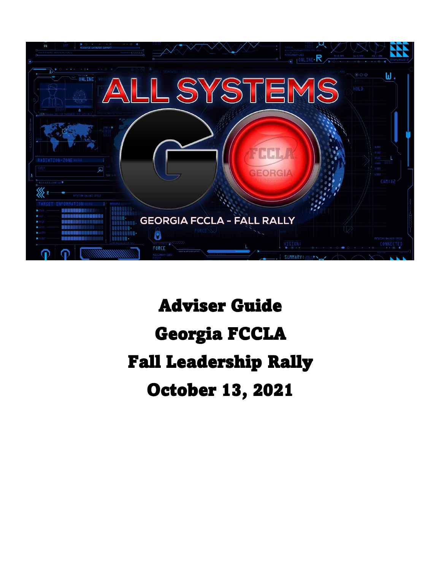

# Adviser Guide Georgia FCCLA Fall Leadership Rally October 13, 2021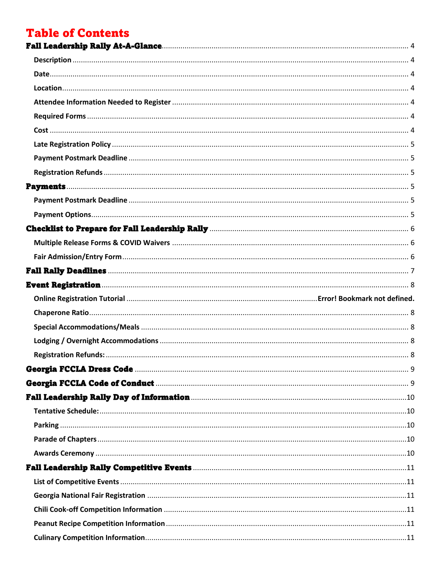## **Table of Contents**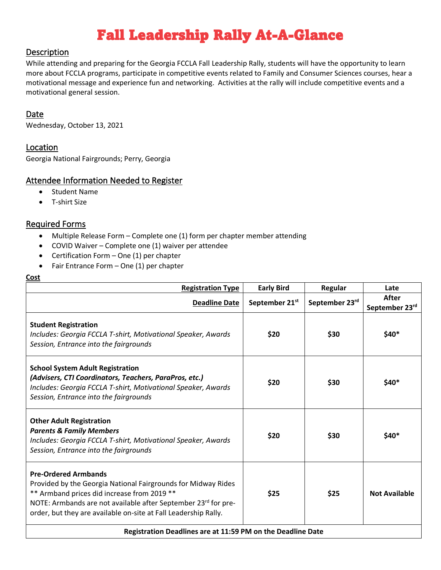## Fall Leadership Rally At-A-Glance

#### <span id="page-3-1"></span><span id="page-3-0"></span>Description

While attending and preparing for the Georgia FCCLA Fall Leadership Rally, students will have the opportunity to learn more about FCCLA programs, participate in competitive events related to Family and Consumer Sciences courses, hear a motivational message and experience fun and networking. Activities at the rally will include competitive events and a motivational general session.

#### <span id="page-3-2"></span>Date

Wednesday, October 13, 2021

#### <span id="page-3-3"></span>Location

Georgia National Fairgrounds; Perry, Georgia

### <span id="page-3-4"></span>Attendee Information Needed to Register

- Student Name
- T-shirt Size

### <span id="page-3-5"></span>Required Forms

- Multiple Release Form Complete one (1) form per chapter member attending
- COVID Waiver Complete one (1) waiver per attendee
- Certification Form One (1) per chapter
- Fair Entrance Form One (1) per chapter

#### <span id="page-3-6"></span>**Cost**

| <b>Registration Type</b>                                                                                                                                                                                                                                                         | <b>Early Bird</b>          | Regular        | Late                    |
|----------------------------------------------------------------------------------------------------------------------------------------------------------------------------------------------------------------------------------------------------------------------------------|----------------------------|----------------|-------------------------|
| <b>Deadline Date</b>                                                                                                                                                                                                                                                             | September 21 <sup>st</sup> | September 23rd | After<br>September 23rd |
| <b>Student Registration</b><br>Includes: Georgia FCCLA T-shirt, Motivational Speaker, Awards<br>Session, Entrance into the fairgrounds                                                                                                                                           | \$20                       | \$30           | \$40*                   |
| <b>School System Adult Registration</b><br>(Advisers, CTI Coordinators, Teachers, ParaPros, etc.)<br>Includes: Georgia FCCLA T-shirt, Motivational Speaker, Awards<br>Session, Entrance into the fairgrounds                                                                     | \$20                       | \$30           | $$40*$                  |
| <b>Other Adult Registration</b><br><b>Parents &amp; Family Members</b><br>Includes: Georgia FCCLA T-shirt, Motivational Speaker, Awards<br>Session, Entrance into the fairgrounds                                                                                                | \$20                       | \$30           | \$40*                   |
| <b>Pre-Ordered Armbands</b><br>Provided by the Georgia National Fairgrounds for Midway Rides<br>** Armband prices did increase from 2019 **<br>NOTE: Armbands are not available after September 23rd for pre-<br>order, but they are available on-site at Fall Leadership Rally. | \$25                       | \$25           | <b>Not Available</b>    |
| Registration Deadlines are at 11:59 PM on the Deadline Date                                                                                                                                                                                                                      |                            |                |                         |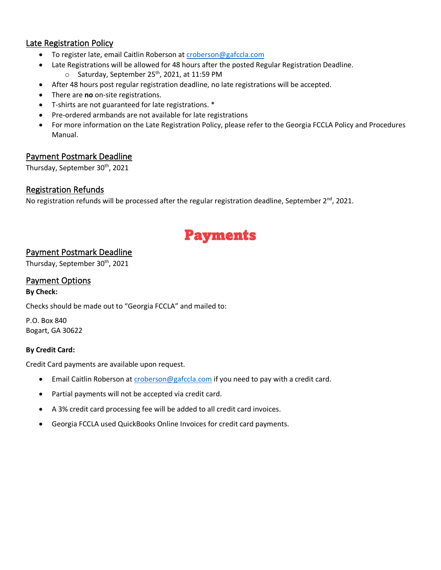### <span id="page-4-0"></span>Late Registration Policy

- To register late, email Caitlin Roberson at [croberson@gafccla.com](mailto:croberson@gafccla.com)
- Late Registrations will be allowed for 48 hours after the posted Regular Registration Deadline.
	- o Saturday, September 25<sup>th</sup>, 2021, at 11:59 PM
- After 48 hours post regular registration deadline, no late registrations will be accepted.
- There are **no** on-site registrations.
- T-shirts are not guaranteed for late registrations. \*
- Pre-ordered armbands are not available for late registrations
- For more information on the Late Registration Policy, please refer to the Georgia FCCLA Policy and Procedures Manual.

### <span id="page-4-1"></span>Payment Postmark Deadline

Thursday, September 30<sup>th</sup>, 2021

#### <span id="page-4-2"></span>Registration Refunds

<span id="page-4-3"></span>No registration refunds will be processed after the regular registration deadline, September  $2^{nd}$ , 2021.

## Payments

### <span id="page-4-4"></span>Payment Postmark Deadline

Thursday, September 30<sup>th</sup>, 2021

### <span id="page-4-5"></span>Payment Options

**By Check:**

Checks should be made out to "Georgia FCCLA" and mailed to:

P.O. Box 840 Bogart, GA 30622

#### **By Credit Card:**

Credit Card payments are available upon request.

- Email Caitlin Roberson at [croberson@gafccla.com](mailto:croberson@gafccla.com) if you need to pay with a credit card.
- Partial payments will not be accepted via credit card.
- A 3% credit card processing fee will be added to all credit card invoices.
- Georgia FCCLA used QuickBooks Online Invoices for credit card payments.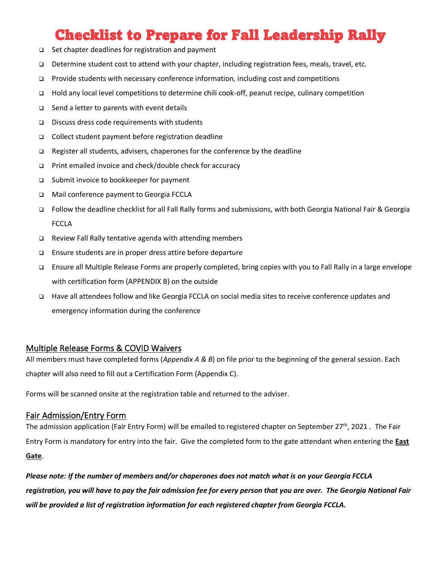## Checklist to Prepare for Fall Leadership Rally

- <span id="page-5-0"></span>❑ Set chapter deadlines for registration and payment
- ❑ Determine student cost to attend with your chapter, including registration fees, meals, travel, etc.
- ❑ Provide students with necessary conference information, including cost and competitions
- ❑ Hold any local level competitions to determine chili cook-off, peanut recipe, culinary competition
- ❑ Send a letter to parents with event details
- ❑ Discuss dress code requirements with students
- ❑ Collect student payment before registration deadline
- ❑ Register all students, advisers, chaperones for the conference by the deadline
- ❑ Print emailed invoice and check/double check for accuracy
- ❑ Submit invoice to bookkeeper for payment
- ❑ Mail conference payment to Georgia FCCLA
- ❑ Follow the deadline checklist for all Fall Rally forms and submissions, with both Georgia National Fair & Georgia FCCLA
- ❑ Review Fall Rally tentative agenda with attending members
- ❑ Ensure students are in proper dress attire before departure
- ❑ Ensure all Multiple Release Forms are properly completed, bring copies with you to Fall Rally in a large envelope with certification form (APPENDIX B) on the outside
- ❑ Have all attendees follow and like Georgia FCCLA on social media sites to receive conference updates and emergency information during the conference

#### <span id="page-5-1"></span>Multiple Release Forms & COVID Waivers

All members must have completed forms (*Appendix A & B*) on file prior to the beginning of the general session. Each chapter will also need to fill out a Certification Form (Appendix C).

Forms will be scanned onsite at the registration table and returned to the adviser.

#### <span id="page-5-2"></span>Fair Admission/Entry Form

The admission application (Fair Entry Form) will be emailed to registered chapter on September 27<sup>th</sup>, 2021. The Fair Entry Form is mandatory for entry into the fair. Give the completed form to the gate attendant when entering the **East Gate**.

*Please note: If the number of members and/or chaperones does not match what is on your Georgia FCCLA registration, you will have to pay the fair admission fee for every person that you are over. The Georgia National Fair will be provided a list of registration information for each registered chapter from Georgia FCCLA.*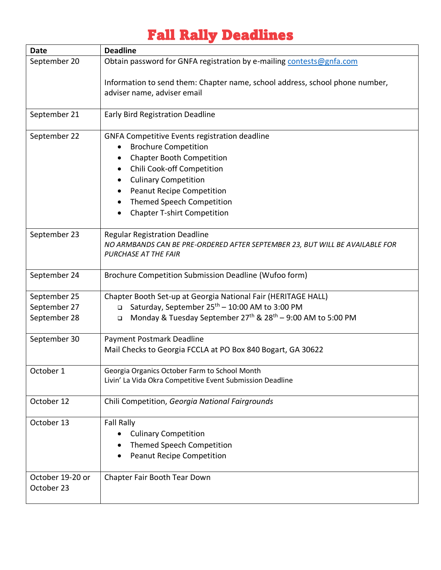## Fall Rally Deadlines

<span id="page-6-0"></span>

| <b>Date</b>                    | <b>Deadline</b>                                                                                                                                                                                                                                                                             |
|--------------------------------|---------------------------------------------------------------------------------------------------------------------------------------------------------------------------------------------------------------------------------------------------------------------------------------------|
| September 20                   | Obtain password for GNFA registration by e-mailing contests@gnfa.com                                                                                                                                                                                                                        |
|                                | Information to send them: Chapter name, school address, school phone number,<br>adviser name, adviser email                                                                                                                                                                                 |
| September 21                   | <b>Early Bird Registration Deadline</b>                                                                                                                                                                                                                                                     |
| September 22                   | <b>GNFA Competitive Events registration deadline</b><br><b>Brochure Competition</b><br><b>Chapter Booth Competition</b><br>Chili Cook-off Competition<br><b>Culinary Competition</b><br><b>Peanut Recipe Competition</b><br>Themed Speech Competition<br><b>Chapter T-shirt Competition</b> |
| September 23                   | <b>Regular Registration Deadline</b><br>NO ARMBANDS CAN BE PRE-ORDERED AFTER SEPTEMBER 23, BUT WILL BE AVAILABLE FOR<br>PURCHASE AT THE FAIR                                                                                                                                                |
| September 24                   | Brochure Competition Submission Deadline (Wufoo form)                                                                                                                                                                                                                                       |
| September 25<br>September 27   | Chapter Booth Set-up at Georgia National Fair (HERITAGE HALL)<br>Saturday, September 25 <sup>th</sup> - 10:00 AM to 3:00 PM<br>$\Box$                                                                                                                                                       |
| September 28                   | Monday & Tuesday September 27 <sup>th</sup> & 28 <sup>th</sup> - 9:00 AM to 5:00 PM<br>$\Box$                                                                                                                                                                                               |
| September 30                   | Payment Postmark Deadline<br>Mail Checks to Georgia FCCLA at PO Box 840 Bogart, GA 30622                                                                                                                                                                                                    |
| October 1                      | Georgia Organics October Farm to School Month<br>Livin' La Vida Okra Competitive Event Submission Deadline                                                                                                                                                                                  |
| October 12                     | Chili Competition, Georgia National Fairgrounds                                                                                                                                                                                                                                             |
| October 13                     | <b>Fall Rally</b><br><b>Culinary Competition</b><br>Themed Speech Competition<br><b>Peanut Recipe Competition</b>                                                                                                                                                                           |
| October 19-20 or<br>October 23 | Chapter Fair Booth Tear Down                                                                                                                                                                                                                                                                |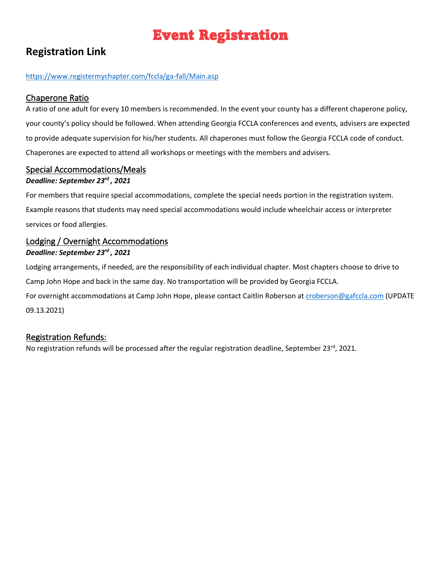## Event Registration

## <span id="page-7-0"></span>**Registration Link**

#### <https://www.registermychapter.com/fccla/ga-fall/Main.asp>

### <span id="page-7-1"></span>Chaperone Ratio

A ratio of one adult for every 10 members is recommended. In the event your county has a different chaperone policy, your county's policy should be followed. When attending Georgia FCCLA conferences and events, advisers are expected to provide adequate supervision for his/her students. All chaperones must follow the Georgia FCCLA code of conduct. Chaperones are expected to attend all workshops or meetings with the members and advisers.

## <span id="page-7-2"></span>Special Accommodations/Meals

#### *Deadline: September 23rd , 2021*

For members that require special accommodations, complete the special needs portion in the registration system. Example reasons that students may need special accommodations would include wheelchair access or interpreter services or food allergies.

### <span id="page-7-3"></span>Lodging / Overnight Accommodations *Deadline: September 23rd , 2021*

Lodging arrangements, if needed, are the responsibility of each individual chapter. Most chapters choose to drive to Camp John Hope and back in the same day. No transportation will be provided by Georgia FCCLA. For overnight accommodations at Camp John Hope, please contact Caitlin Roberson at [croberson@gafccla.com](mailto:croberson@gafccla.com) (UPDATE 09.13.2021)

### <span id="page-7-4"></span>Registration Refunds:

No registration refunds will be processed after the regular registration deadline, September 23<sup>rd</sup>, 2021.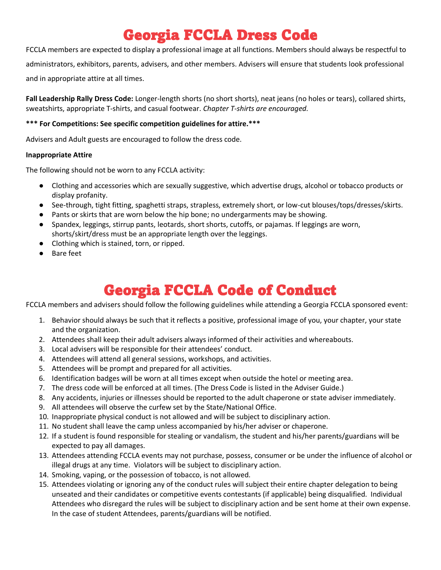## Georgia FCCLA Dress Code

<span id="page-8-0"></span>FCCLA members are expected to display a professional image at all functions. Members should always be respectful to administrators, exhibitors, parents, advisers, and other members. Advisers will ensure that students look professional and in appropriate attire at all times.

**Fall Leadership Rally Dress Code:** Longer-length shorts (no short shorts), neat jeans (no holes or tears), collared shirts, sweatshirts, appropriate T-shirts, and casual footwear. *Chapter T-shirts are encouraged.*

#### **\*\*\* For Competitions: See specific competition guidelines for attire.\*\*\***

Advisers and Adult guests are encouraged to follow the dress code.

#### **Inappropriate Attire**

The following should not be worn to any FCCLA activity:

- Clothing and accessories which are sexually suggestive, which advertise drugs, alcohol or tobacco products or display profanity.
- See-through, tight fitting, spaghetti straps, strapless, extremely short, or low-cut blouses/tops/dresses/skirts.
- Pants or skirts that are worn below the hip bone; no undergarments may be showing.
- Spandex, leggings, stirrup pants, leotards, short shorts, cutoffs, or pajamas. If leggings are worn, shorts/skirt/dress must be an appropriate length over the leggings.
- Clothing which is stained, torn, or ripped.
- **Bare feet**

## Georgia FCCLA Code of Conduct

<span id="page-8-1"></span>FCCLA members and advisers should follow the following guidelines while attending a Georgia FCCLA sponsored event:

- 1. Behavior should always be such that it reflects a positive, professional image of you, your chapter, your state and the organization.
- 2. Attendees shall keep their adult advisers always informed of their activities and whereabouts.
- 3. Local advisers will be responsible for their attendees' conduct.
- 4. Attendees will attend all general sessions, workshops, and activities.
- 5. Attendees will be prompt and prepared for all activities.
- 6. Identification badges will be worn at all times except when outside the hotel or meeting area.
- 7. The dress code will be enforced at all times. (The Dress Code is listed in the Adviser Guide.)
- 8. Any accidents, injuries or illnesses should be reported to the adult chaperone or state adviser immediately.
- 9. All attendees will observe the curfew set by the State/National Office.
- 10. Inappropriate physical conduct is not allowed and will be subject to disciplinary action.
- 11. No student shall leave the camp unless accompanied by his/her adviser or chaperone.
- 12. If a student is found responsible for stealing or vandalism, the student and his/her parents/guardians will be expected to pay all damages.
- 13. Attendees attending FCCLA events may not purchase, possess, consumer or be under the influence of alcohol or illegal drugs at any time. Violators will be subject to disciplinary action.
- 14. Smoking, vaping, or the possession of tobacco, is not allowed.
- 15. Attendees violating or ignoring any of the conduct rules will subject their entire chapter delegation to being unseated and their candidates or competitive events contestants (if applicable) being disqualified. Individual Attendees who disregard the rules will be subject to disciplinary action and be sent home at their own expense. In the case of student Attendees, parents/guardians will be notified.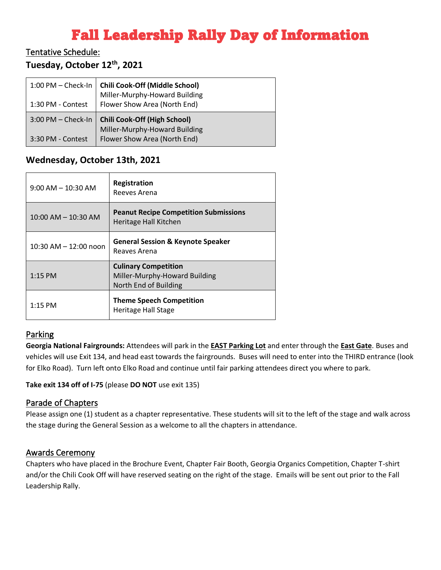## Fall Leadership Rally Day of Information

## <span id="page-9-1"></span><span id="page-9-0"></span>Tentative Schedule:

## **Tuesday, October 12th, 2021**

| $1:00$ PM $-$ Check-In | <b>Chili Cook-Off (Middle School)</b><br>Miller-Murphy-Howard Building |
|------------------------|------------------------------------------------------------------------|
| 1:30 PM - Contest      | Flower Show Area (North End)                                           |
| 3:00 PM - Check-In     | <b>Chili Cook-Off (High School)</b>                                    |
|                        | Miller-Murphy-Howard Building                                          |
| 3:30 PM - Contest      | Flower Show Area (North End)                                           |

## **Wednesday, October 13th, 2021**

| $9:00$ AM $-$ 10:30 AM    | Registration<br>Reeves Arena                                                          |
|---------------------------|---------------------------------------------------------------------------------------|
| $10:00$ AM $- 10:30$ AM   | <b>Peanut Recipe Competition Submissions</b><br>Heritage Hall Kitchen                 |
| $10:30$ AM $- 12:00$ noon | <b>General Session &amp; Keynote Speaker</b><br>Reaves Arena                          |
| $1:15$ PM                 | <b>Culinary Competition</b><br>Miller-Murphy-Howard Building<br>North End of Building |
| $1:15$ PM                 | <b>Theme Speech Competition</b><br>Heritage Hall Stage                                |

### <span id="page-9-2"></span>Parking

**Georgia National Fairgrounds:** Attendees will park in the **EAST Parking Lot** and enter through the **East Gate**. Buses and vehicles will use Exit 134, and head east towards the fairgrounds. Buses will need to enter into the THIRD entrance (look for Elko Road). Turn left onto Elko Road and continue until fair parking attendees direct you where to park.

**Take exit 134 off of I-75** (please **DO NOT** use exit 135)

#### <span id="page-9-3"></span>Parade of Chapters

Please assign one (1) student as a chapter representative. These students will sit to the left of the stage and walk across the stage during the General Session as a welcome to all the chapters in attendance.

#### <span id="page-9-4"></span>Awards Ceremony

Chapters who have placed in the Brochure Event, Chapter Fair Booth, Georgia Organics Competition, Chapter T-shirt and/or the Chili Cook Off will have reserved seating on the right of the stage. Emails will be sent out prior to the Fall Leadership Rally.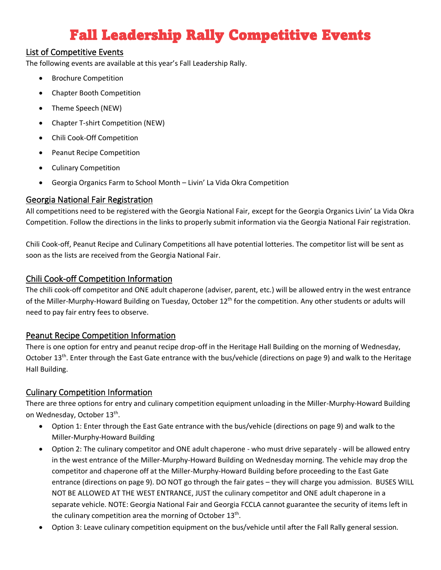## Fall Leadership Rally Competitive Events

### <span id="page-10-1"></span><span id="page-10-0"></span>List of Competitive Events

The following events are available at this year's Fall Leadership Rally.

- Brochure Competition
- Chapter Booth Competition
- Theme Speech (NEW)
- Chapter T-shirt Competition (NEW)
- Chili Cook-Off Competition
- Peanut Recipe Competition
- Culinary Competition
- Georgia Organics Farm to School Month Livin' La Vida Okra Competition

#### <span id="page-10-2"></span>Georgia National Fair Registration

All competitions need to be registered with the Georgia National Fair, except for the Georgia Organics Livin' La Vida Okra Competition. Follow the directions in the links to properly submit information via the Georgia National Fair registration.

Chili Cook-off, Peanut Recipe and Culinary Competitions all have potential lotteries. The competitor list will be sent as soon as the lists are received from the Georgia National Fair.

### <span id="page-10-3"></span>Chili Cook-off Competition Information

The chili cook-off competitor and ONE adult chaperone (adviser, parent, etc.) will be allowed entry in the west entrance of the Miller-Murphy-Howard Building on Tuesday, October 12<sup>th</sup> for the competition. Any other students or adults will need to pay fair entry fees to observe.

### <span id="page-10-4"></span>Peanut Recipe Competition Information

There is one option for entry and peanut recipe drop-off in the Heritage Hall Building on the morning of Wednesday, October 13th. Enter through the East Gate entrance with the bus/vehicle (directions on page 9) and walk to the Heritage Hall Building.

### <span id="page-10-5"></span>Culinary Competition Information

There are three options for entry and culinary competition equipment unloading in the Miller-Murphy-Howard Building on Wednesday, October 13<sup>th</sup>.

- Option 1: Enter through the East Gate entrance with the bus/vehicle (directions on page 9) and walk to the Miller-Murphy-Howard Building
- Option 2: The culinary competitor and ONE adult chaperone who must drive separately will be allowed entry in the west entrance of the Miller-Murphy-Howard Building on Wednesday morning. The vehicle may drop the competitor and chaperone off at the Miller-Murphy-Howard Building before proceeding to the East Gate entrance (directions on page 9). DO NOT go through the fair gates – they will charge you admission. BUSES WILL NOT BE ALLOWED AT THE WEST ENTRANCE, JUST the culinary competitor and ONE adult chaperone in a separate vehicle. NOTE: Georgia National Fair and Georgia FCCLA cannot guarantee the security of items left in the culinary competition area the morning of October 13<sup>th</sup>.
- Option 3: Leave culinary competition equipment on the bus/vehicle until after the Fall Rally general session.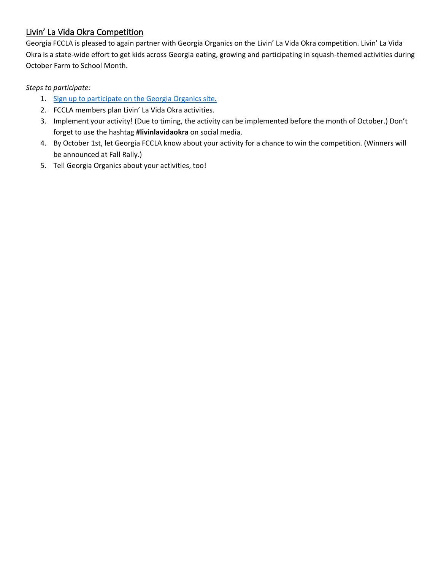## <span id="page-11-0"></span>Livin' La Vida Okra Competition

Georgia FCCLA is pleased to again partner with Georgia Organics on the Livin' La Vida Okra competition. Livin' La Vida Okra is a state-wide effort to get kids across Georgia eating, growing and participating in squash-themed activities during October Farm to School Month.

#### *Steps to participate:*

- 1. [Sign up to participate on the Georgia Organics site.](https://farmtoschool.georgiaorganics.org/livin-la-vida-okra)
- 2. FCCLA members plan Livin' La Vida Okra activities.
- 3. Implement your activity! (Due to timing, the activity can be implemented before the month of October.) Don't forget to use the hashtag **#livinlavidaokra** on social media.
- 4. By October 1st, let Georgia FCCLA know about your activity for a chance to win the competition. (Winners will be announced at Fall Rally.)
- 5. Tell Georgia Organics about your activities, too!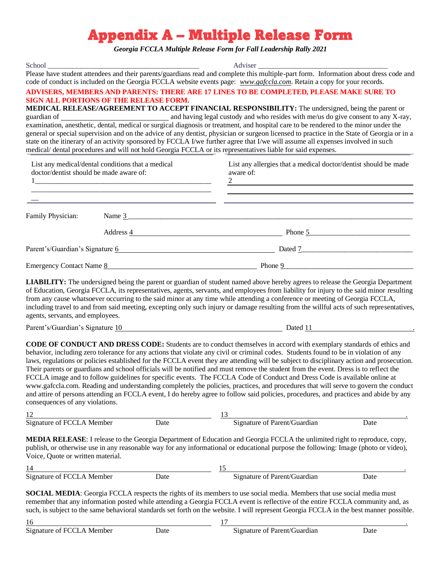## Appendix A – Multiple Release Form

*Georgia FCCLA Multiple Release Form for Fall Leadership Rally 2021*

<span id="page-12-0"></span>

| School<br>SIGN ALL PORTIONS OF THE RELEASE FORM.                                             |  | Adviser<br>Please have student attendees and their parents/guardians read and complete this multiple-part form. Information about dress code and<br>code of conduct is included on the Georgia FCCLA website events page: www.gafccla.com. Retain a copy for your records.<br>ADVISERS, MEMBERS AND PARENTS: THERE ARE 17 LINES TO BE COMPLETED, PLEASE MAKE SURE TO<br>MEDICAL RELEASE/AGREEMENT TO ACCEPT FINANCIAL RESPONSIBILITY: The undersigned, being the parent or<br>general or special supervision and on the advice of any dentist, physician or surgeon licensed to practice in the State of Georgia or in a<br>state on the itinerary of an activity sponsored by FCCLA I/we further agree that I/we will assume all expenses involved in such<br>medical/ dental procedures and will not hold Georgia FCCLA or its representatives liable for said expenses.                                                                                           |  |
|----------------------------------------------------------------------------------------------|--|----------------------------------------------------------------------------------------------------------------------------------------------------------------------------------------------------------------------------------------------------------------------------------------------------------------------------------------------------------------------------------------------------------------------------------------------------------------------------------------------------------------------------------------------------------------------------------------------------------------------------------------------------------------------------------------------------------------------------------------------------------------------------------------------------------------------------------------------------------------------------------------------------------------------------------------------------------------------|--|
| List any medical/dental conditions that a medical<br>doctor/dentist should be made aware of: |  | List any allergies that a medical doctor/dentist should be made<br>aware of:                                                                                                                                                                                                                                                                                                                                                                                                                                                                                                                                                                                                                                                                                                                                                                                                                                                                                         |  |
| Family Physician:                                                                            |  | Name 3                                                                                                                                                                                                                                                                                                                                                                                                                                                                                                                                                                                                                                                                                                                                                                                                                                                                                                                                                               |  |
|                                                                                              |  | Address 4 Phone 5                                                                                                                                                                                                                                                                                                                                                                                                                                                                                                                                                                                                                                                                                                                                                                                                                                                                                                                                                    |  |
|                                                                                              |  | Parent's/Guardian's Signature 6 Dated 7 Dated 7 Dated 7 Dated 7 Dated 7 Dated 7 Dated 7 Dated 7 Dated 7 Dated 7 Dated 7 Dated 7 Dated 7 Dated 7 Dated 7 Dated 7 Dated 7 Dated 7 Dated 7 Dated 7 Dated 7 Dated 7 Dated 7 Dated                                                                                                                                                                                                                                                                                                                                                                                                                                                                                                                                                                                                                                                                                                                                        |  |
|                                                                                              |  | Emergency Contact Name 8 Phone 9                                                                                                                                                                                                                                                                                                                                                                                                                                                                                                                                                                                                                                                                                                                                                                                                                                                                                                                                     |  |
| agents, servants, and employees.                                                             |  | <b>LIABILITY:</b> The undersigned being the parent or guardian of student named above hereby agrees to release the Georgia Department<br>of Education, Georgia FCCLA, its representatives, agents, servants, and employees from liability for injury to the said minor resulting<br>from any cause whatsoever occurring to the said minor at any time while attending a conference or meeting of Georgia FCCLA,<br>including travel to and from said meeting, excepting only such injury or damage resulting from the willful acts of such representatives,                                                                                                                                                                                                                                                                                                                                                                                                          |  |
|                                                                                              |  | Parent's/Guardian's Signature 10 contract to Date of the Date of the Date of the Date of the Date of the Date of the Date of the Date of the Date of the Date of the Date of the Date of the Date of the Date of the Date of t                                                                                                                                                                                                                                                                                                                                                                                                                                                                                                                                                                                                                                                                                                                                       |  |
| consequences of any violations.                                                              |  | <b>CODE OF CONDUCT AND DRESS CODE:</b> Students are to conduct themselves in accord with exemplary standards of ethics and<br>behavior, including zero tolerance for any actions that violate any civil or criminal codes. Students found to be in violation of any<br>laws, regulations or policies established for the FCCLA event they are attending will be subject to disciplinary action and prosecution.<br>Their parents or guardians and school officials will be notified and must remove the student from the event. Dress is to reflect the<br>FCCLA image and to follow guidelines for specific events. The FCCLA Code of Conduct and Dress Code is available online at<br>www.gafccla.com. Reading and understanding completely the policies, practices, and procedures that will serve to govern the conduct<br>and attire of persons attending an FCCLA event, I do hereby agree to follow said policies, procedures, and practices and abide by any |  |
|                                                                                              |  | 12<br>Signature of FCCLA Member<br>Date Date Signature of Parent/Guardian<br>Date                                                                                                                                                                                                                                                                                                                                                                                                                                                                                                                                                                                                                                                                                                                                                                                                                                                                                    |  |
| Voice, Quote or written material.                                                            |  | <b>MEDIA RELEASE:</b> I release to the Georgia Department of Education and Georgia FCCLA the unlimited right to reproduce, copy,<br>publish, or otherwise use in any reasonable way for any informational or educational purpose the following: Image (photo or video),                                                                                                                                                                                                                                                                                                                                                                                                                                                                                                                                                                                                                                                                                              |  |
|                                                                                              |  | 14<br>Signature of FCCLA Member<br>Date Date Signature of Parent/Guardian<br>Date                                                                                                                                                                                                                                                                                                                                                                                                                                                                                                                                                                                                                                                                                                                                                                                                                                                                                    |  |
| 16                                                                                           |  | <b>SOCIAL MEDIA:</b> Georgia FCCLA respects the rights of its members to use social media. Members that use social media must<br>remember that any information posted while attending a Georgia FCCLA event is reflective of the entire FCCLA community and, as<br>such, is subject to the same behavioral standards set forth on the website. I will represent Georgia FCCLA in the best manner possible.<br>17<br><u> 1980 - Johann Barn, mars ann an t-Amhain Aonaich an t-Aonaich an t-Aonaich ann an t-Aonaich ann an t-Aonaich</u>                                                                                                                                                                                                                                                                                                                                                                                                                             |  |

| Signature of FCCLA<br>Member | 9 ote<br>. | Signature of Parent/Guardian | Jate |  |
|------------------------------|------------|------------------------------|------|--|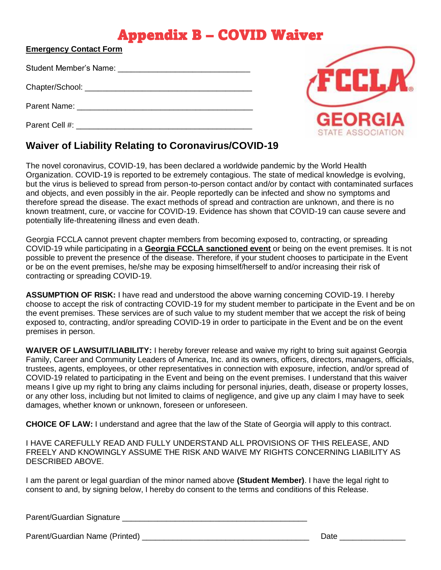## Appendix B – COVID Waiver

<span id="page-13-0"></span>

| <b>Emergency Contact Form</b> |  |
|-------------------------------|--|
|                               |  |
|                               |  |
|                               |  |

Student Member's Name: \_\_\_\_\_\_\_\_\_\_\_\_\_\_\_\_\_\_\_\_\_\_\_\_\_\_\_\_\_\_

Chapter/School: **Example 2018** 

Parent Name: \_\_\_\_\_\_\_\_\_\_\_\_\_\_\_\_\_\_\_\_\_\_\_\_\_\_\_\_\_\_\_\_\_\_\_\_\_\_\_\_

Parent Cell #: \_\_\_\_\_\_\_\_\_\_\_\_\_\_\_\_\_\_\_\_\_\_\_\_\_\_\_\_\_\_\_\_\_\_\_\_\_\_\_\_



## **Waiver of Liability Relating to Coronavirus/COVID-19**

The novel coronavirus, COVID-19, has been declared a worldwide pandemic by the World Health Organization. COVID-19 is reported to be extremely contagious. The state of medical knowledge is evolving, but the virus is believed to spread from person-to-person contact and/or by contact with contaminated surfaces and objects, and even possibly in the air. People reportedly can be infected and show no symptoms and therefore spread the disease. The exact methods of spread and contraction are unknown, and there is no known treatment, cure, or vaccine for COVID-19. Evidence has shown that COVID-19 can cause severe and potentially life-threatening illness and even death.

Georgia FCCLA cannot prevent chapter members from becoming exposed to, contracting, or spreading COVID-19 while participating in a **Georgia FCCLA sanctioned event** or being on the event premises. It is not possible to prevent the presence of the disease. Therefore, if your student chooses to participate in the Event or be on the event premises, he/she may be exposing himself/herself to and/or increasing their risk of contracting or spreading COVID-19.

**ASSUMPTION OF RISK:** I have read and understood the above warning concerning COVID-19. I hereby choose to accept the risk of contracting COVID-19 for my student member to participate in the Event and be on the event premises. These services are of such value to my student member that we accept the risk of being exposed to, contracting, and/or spreading COVID-19 in order to participate in the Event and be on the event premises in person.

**WAIVER OF LAWSUIT/LIABILITY:** I hereby forever release and waive my right to bring suit against Georgia Family, Career and Community Leaders of America, Inc. and its owners, officers, directors, managers, officials, trustees, agents, employees, or other representatives in connection with exposure, infection, and/or spread of COVID-19 related to participating in the Event and being on the event premises. I understand that this waiver means I give up my right to bring any claims including for personal injuries, death, disease or property losses, or any other loss, including but not limited to claims of negligence, and give up any claim I may have to seek damages, whether known or unknown, foreseen or unforeseen.

**CHOICE OF LAW:** I understand and agree that the law of the State of Georgia will apply to this contract.

I HAVE CAREFULLY READ AND FULLY UNDERSTAND ALL PROVISIONS OF THIS RELEASE, AND FREELY AND KNOWINGLY ASSUME THE RISK AND WAIVE MY RIGHTS CONCERNING LIABILITY AS DESCRIBED ABOVE.

I am the parent or legal guardian of the minor named above **(Student Member)**. I have the legal right to consent to and, by signing below, I hereby do consent to the terms and conditions of this Release.

Parent/Guardian Signature \_\_\_\_\_\_\_\_\_\_\_\_\_\_\_\_\_\_\_\_\_\_\_\_\_\_\_\_\_\_\_\_\_\_\_\_\_\_\_\_\_\_

Parent/Guardian Name (Printed) \_\_\_\_\_\_\_\_\_\_\_\_\_\_\_\_\_\_\_\_\_\_\_\_\_\_\_\_\_\_\_\_\_\_\_\_\_\_ Date \_\_\_\_\_\_\_\_\_\_\_\_\_\_\_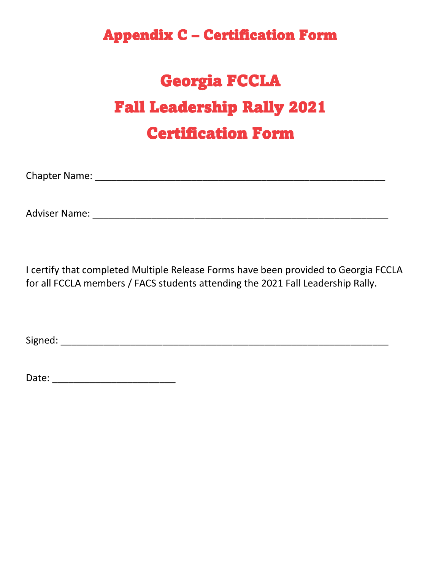## <span id="page-14-0"></span>Appendix C – Certification Form

# Georgia FCCLA Fall Leadership Rally 2021 Certification Form

Chapter Name: \_\_\_\_\_\_\_\_\_\_\_\_\_\_\_\_\_\_\_\_\_\_\_\_\_\_\_\_\_\_\_\_\_\_\_\_\_\_\_\_\_\_\_\_\_\_\_\_\_\_\_\_\_\_

Adviser Name: \_\_\_\_\_\_\_\_\_\_\_\_\_\_\_\_\_\_\_\_\_\_\_\_\_\_\_\_\_\_\_\_\_\_\_\_\_\_\_\_\_\_\_\_\_\_\_\_\_\_\_\_\_\_\_

I certify that completed Multiple Release Forms have been provided to Georgia FCCLA for all FCCLA members / FACS students attending the 2021 Fall Leadership Rally.

Signed: \_\_\_\_\_\_\_\_\_\_\_\_\_\_\_\_\_\_\_\_\_\_\_\_\_\_\_\_\_\_\_\_\_\_\_\_\_\_\_\_\_\_\_\_\_\_\_\_\_\_\_\_\_\_\_\_\_\_\_\_\_

Date: \_\_\_\_\_\_\_\_\_\_\_\_\_\_\_\_\_\_\_\_\_\_\_